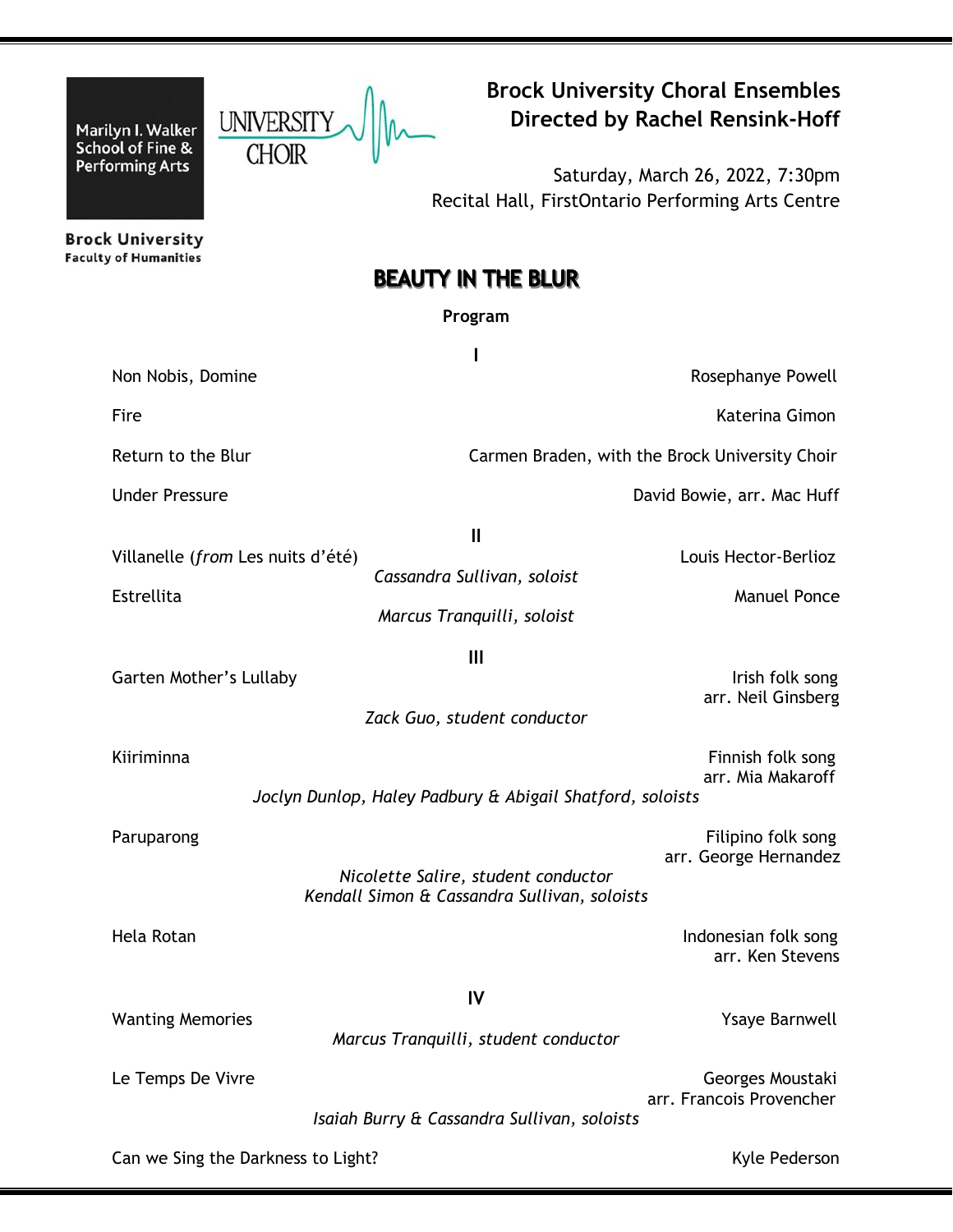Marilyn I. Walker UNIVERSITY UNIVERSITY **Directed by Rachel Rensink-Hoff**<br>School of Fine & CHOIR **CHOIR** 

**Performing Arts** 

**Brock University Choral Ensembles**<br>Directed by Rachel Rensink-Hoff

Saturday, March 26, 2022, 7:30pm Recital Hall, FirstOntario Performing Arts Centre

**Brock University Faculty of Humanities** 

# **BEAUTY IN THE BLUR**

# **Program**

| Non Nobis, Domine                               |                                                                                     | Rosephanye Powell                              |
|-------------------------------------------------|-------------------------------------------------------------------------------------|------------------------------------------------|
| Fire                                            |                                                                                     | Katerina Gimon                                 |
| Return to the Blur                              |                                                                                     | Carmen Braden, with the Brock University Choir |
| <b>Under Pressure</b>                           |                                                                                     | David Bowie, arr. Mac Huff                     |
| Villanelle (from Les nuits d'été)<br>Estrellita | $\mathbf{I}$<br>Cassandra Sullivan, soloist<br>Marcus Tranquilli, soloist           | Louis Hector-Berlioz<br><b>Manuel Ponce</b>    |
| Garten Mother's Lullaby                         | $\mathbf{III}$<br>Zack Guo, student conductor                                       | Irish folk song<br>arr. Neil Ginsberg          |
| Kiiriminna                                      | Joclyn Dunlop, Haley Padbury & Abigail Shatford, soloists                           | Finnish folk song<br>arr. Mia Makaroff         |
| Paruparong                                      | Nicolette Salire, student conductor<br>Kendall Simon & Cassandra Sullivan, soloists | Filipino folk song<br>arr. George Hernandez    |
| Hela Rotan                                      |                                                                                     | Indonesian folk song<br>arr. Ken Stevens       |
| <b>Wanting Memories</b>                         | IV<br>Marcus Tranquilli, student conductor                                          | <b>Ysaye Barnwell</b>                          |
| Le Temps De Vivre                               | Isaiah Burry & Cassandra Sullivan, soloists                                         | Georges Moustaki<br>arr. Francois Provencher   |
| Can we Sing the Darkness to Light?              |                                                                                     | Kyle Pederson                                  |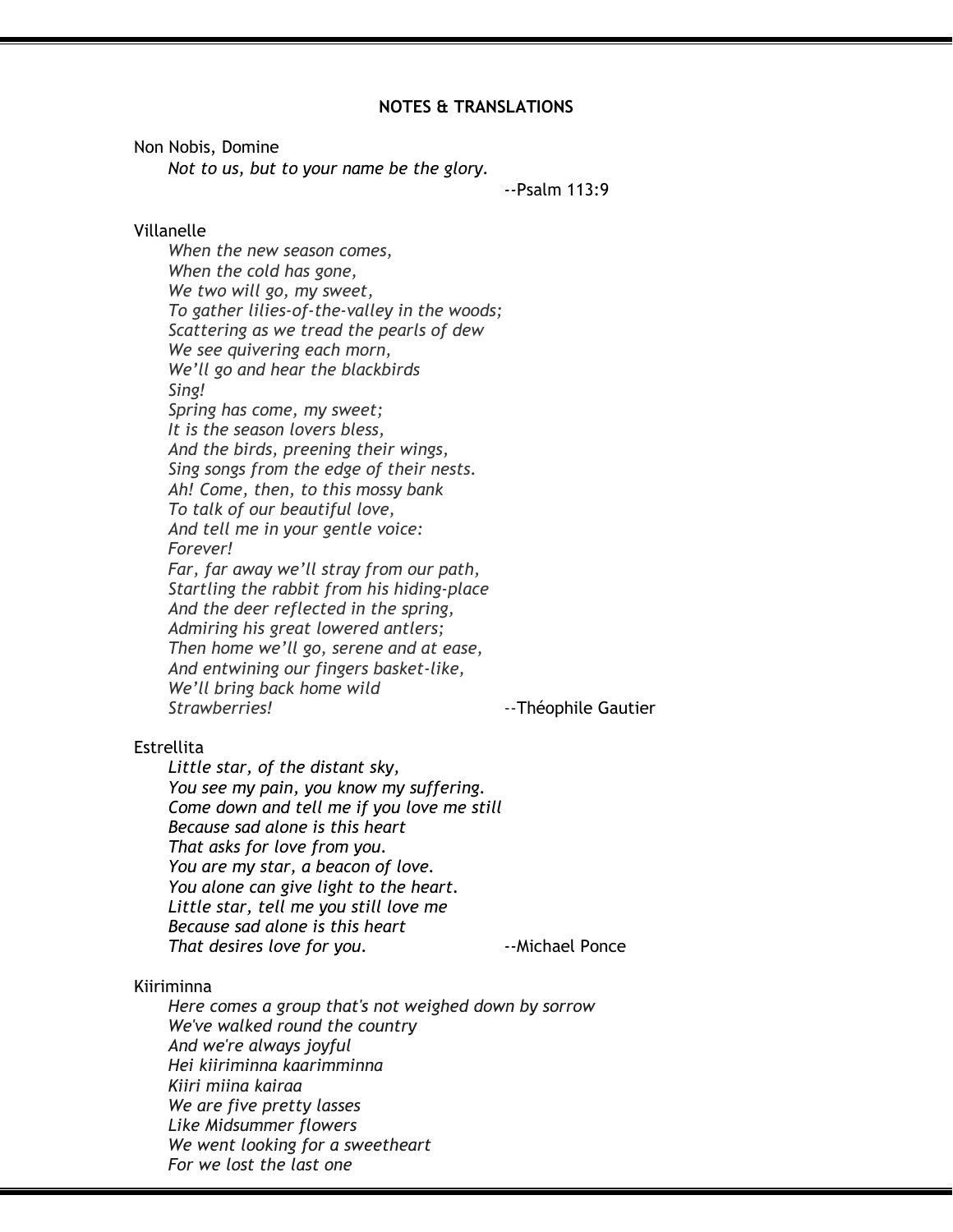# **NOTES & TRANSLATIONS**

Non Nobis, Domine

*Not to us, but to your name be the glory.*

*--*Psalm 113:9

# Villanelle

*When the new season comes, When the cold has gone, We two will go, my sweet, To gather lilies-of-the-valley in the woods; Scattering as we tread the pearls of dew We see quivering each morn, We'll go and hear the blackbirds Sing! Spring has come, my sweet; It is the season lovers bless, And the birds, preening their wings, Sing songs from the edge of their nests. Ah! Come, then, to this mossy bank To talk of our beautiful love, And tell me in your gentle voice: Forever! Far, far away we'll stray from our path, Startling the rabbit from his hiding-place And the deer reflected in the spring, Admiring his great lowered antlers; Then home we'll go, serene and at ease, And entwining our fingers basket-like, We'll bring back home wild Strawberries!* --Théophile Gautier

#### **Estrellita**

*Little star, of the distant sky, You see my pain, you know my suffering. Come down and tell me if you love me still Because sad alone is this heart That asks for love from you. You are my star, a beacon of love. You alone can give light to the heart. Little star, tell me you still love me Because sad alone is this heart That desires love for you.* **Fig. 2018** --Michael Ponce

#### Kiiriminna

*Here comes a group that's not weighed down by sorrow We've walked round the country And we're always joyful Hei kiiriminna kaarimminna Kiiri miina kairaa We are five pretty lasses Like Midsummer flowers We went looking for a sweetheart For we lost the last one*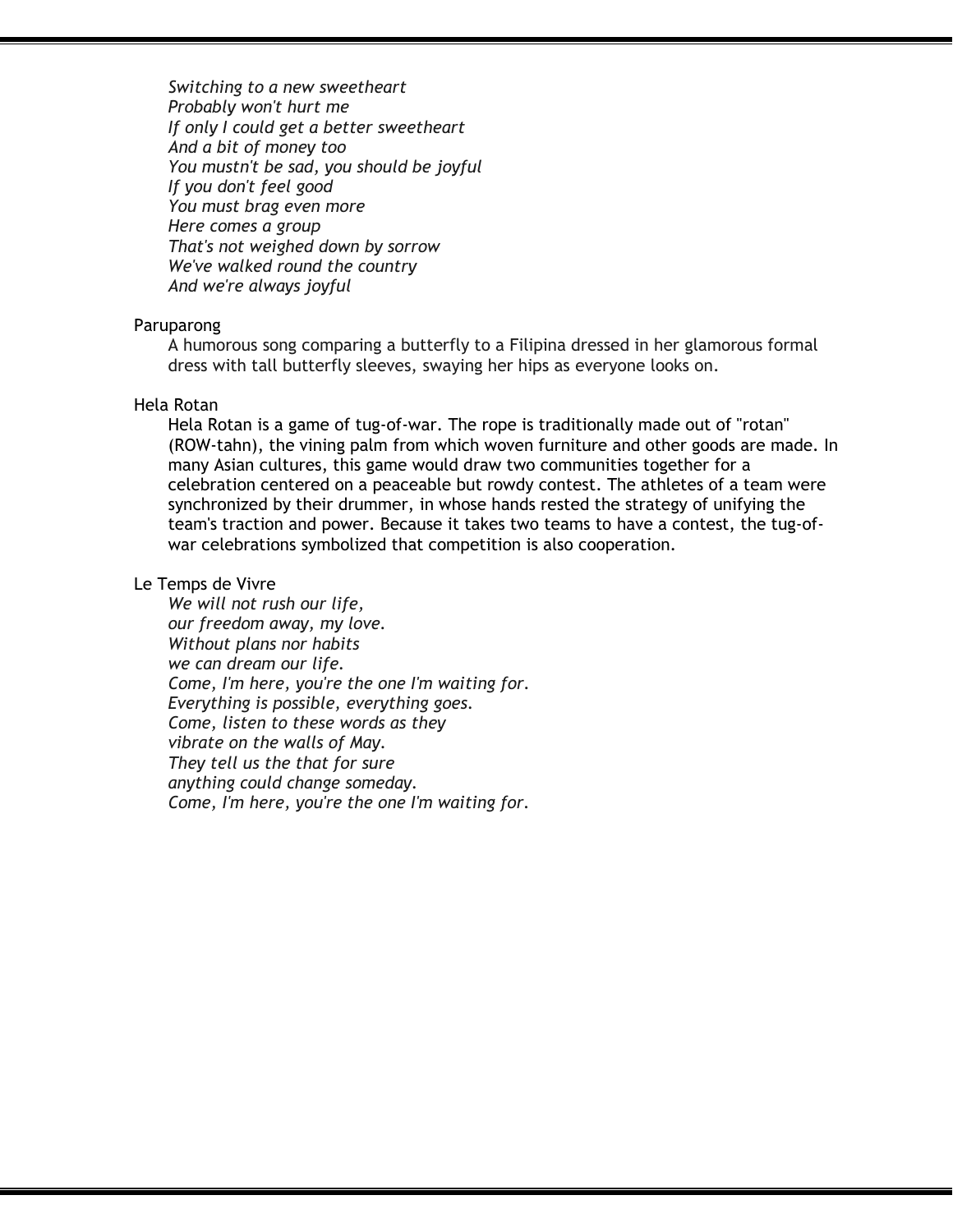*Switching to a new sweetheart Probably won't hurt me If only I could get a better sweetheart And a bit of money too You mustn't be sad, you should be joyful If you don't feel good You must brag even more Here comes a group That's not weighed down by sorrow We've walked round the country And we're always joyful*

#### Paruparong

A humorous song comparing a butterfly to a Filipina dressed in her glamorous formal dress with tall butterfly sleeves, swaying her hips as everyone looks on.

# Hela Rotan

Hela Rotan is a game of tug-of-war. The rope is traditionally made out of "rotan" (ROW-tahn), the vining palm from which woven furniture and other goods are made. In many Asian cultures, this game would draw two communities together for a celebration centered on a peaceable but rowdy contest. The athletes of a team were synchronized by their drummer, in whose hands rested the strategy of unifying the team's traction and power. Because it takes two teams to have a contest, the tug-ofwar celebrations symbolized that competition is also cooperation.

## Le Temps de Vivre

*We will not rush our life, our freedom away, my love. Without plans nor habits we can dream our life. Come, I'm here, you're the one I'm waiting for. Everything is possible, everything goes. Come, listen to these words as they vibrate on the walls of May. They tell us the that for sure anything could change someday. Come, I'm here, you're the one I'm waiting for.*